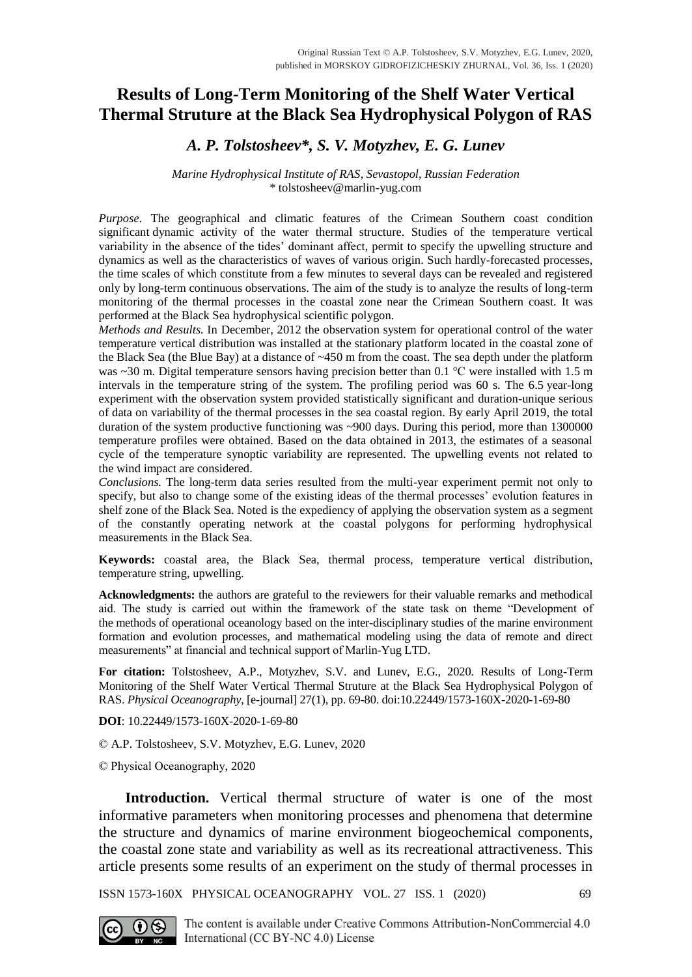# **Results of Long-Term Monitoring of the Shelf Water Vertical Thermal Struture at the Black Sea Hydrophysical Polygon of RAS**

## *A. P. Tolstosheev\*, S. V. Motyzhev, E. G. Lunev*

### *Marine Hydrophysical Institute of RAS, Sevastopol, Russian Federation* \* tolstosheev@marlin-yug.com

*Purpose*. The geographical and climatic features of the Crimean Southern coast condition significant dynamic activity of the water thermal structure. Studies of the temperature vertical variability in the absence of the tides' dominant affect, permit to specify the upwelling structure and dynamics as well as the characteristics of waves of various origin. Such hardly-forecasted processes, the time scales of which constitute from a few minutes to several days can be revealed and registered only by long-term continuous observations. The aim of the study is to analyze the results of long-term monitoring of the thermal processes in the coastal zone near the Crimean Southern coast. It was performed at the Black Sea hydrophysical scientific polygon.

*Methods and Results.* In December, 2012 the observation system for operational control of the water temperature vertical distribution was installed at the stationary platform located in the coastal zone of the Black Sea (the Blue Bay) at a distance of ~450 m from the coast. The sea depth under the platform was  $\sim$ 30 m. Digital temperature sensors having precision better than 0.1 °C were installed with 1.5 m intervals in the temperature string of the system. The profiling period was 60 s. The 6.5 year-long experiment with the observation system provided statistically significant and duration-unique serious of data on variability of the thermal processes in the sea coastal region. By early April 2019, the total duration of the system productive functioning was ~900 days. During this period, more than 1300000 temperature profiles were obtained. Based on the data obtained in 2013, the estimates of a seasonal cycle of the temperature synoptic variability are represented. The upwelling events not related to the wind impact are considered.

*Conclusions.* The long-term data series resulted from the multi-year experiment permit not only to specify, but also to change some of the existing ideas of the thermal processes' evolution features in shelf zone of the Black Sea. Noted is the expediency of applying the observation system as a segment of the constantly operating network at the coastal polygons for performing hydrophysical measurements in the Black Sea.

**Keywords:** coastal area, the Black Sea, thermal process, temperature vertical distribution, temperature string, upwelling.

**Acknowledgments:** the authors are grateful to the reviewers for their valuable remarks and methodical aid. The study is carried out within the framework of the state task on theme "Development of the methods of operational oceanology based on the inter-disciplinary studies of the marine environment formation and evolution processes, and mathematical modeling using the data of remote and direct measurements" at financial and technical support of Marlin-Yug LTD.

**For citation:** Tolstosheev, A.P., Motyzhev, S.V. and Lunev, E.G., 2020. Results of Long-Term Monitoring of the Shelf Water Vertical Thermal Struture at the Black Sea Hydrophysical Polygon of RAS. *Physical Oceanography*, [e-journal] 27(1), pp. 69-80. doi:10.22449/1573-160X-2020-1-69-80

**DOI**: 10.22449/1573-160X-2020-1-69-80

© A.P. Tolstosheev, S.V. Motyzhev, E.G. Lunev, 2020

© Physical Oceanography, 2020

**Introduction.** Vertical thermal structure of water is one of the most informative parameters when monitoring processes and phenomena that determine the structure and dynamics of marine environment biogeochemical components, the coastal zone state and variability as well as its recreational attractiveness. This article presents some results of an experiment on the study of thermal processes in

ISSN 1573-160X PHYSICAL OCEANOGRAPHY VOL. 27 ISS. 1 (2020) 69

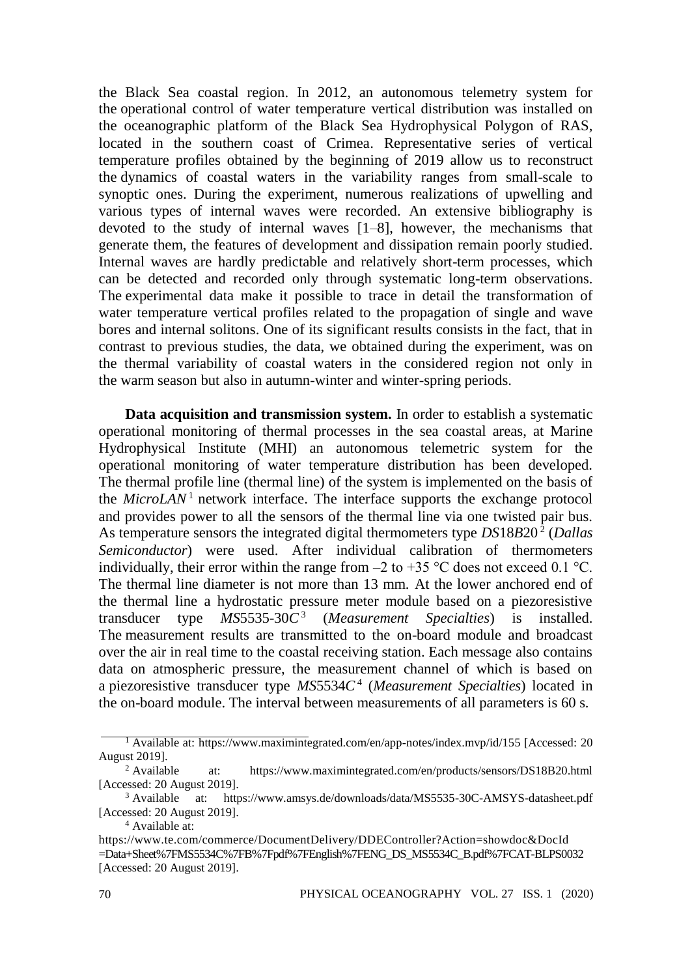the Black Sea coastal region. In 2012, an autonomous telemetry system for the operational control of water temperature vertical distribution was installed on the oceanographic platform of the Black Sea Hydrophysical Polygon of RAS, located in the southern coast of Crimea. Representative series of vertical temperature profiles obtained by the beginning of 2019 allow us to reconstruct the dynamics of coastal waters in the variability ranges from small-scale to synoptic ones. During the experiment, numerous realizations of upwelling and various types of internal waves were recorded. An extensive bibliography is devoted to the study of internal waves [1–8], however, the mechanisms that generate them, the features of development and dissipation remain poorly studied. Internal waves are hardly predictable and relatively short-term processes, which can be detected and recorded only through systematic long-term observations. The experimental data make it possible to trace in detail the transformation of water temperature vertical profiles related to the propagation of single and wave bores and internal solitons. One of its significant results consists in the fact, that in contrast to previous studies, the data, we obtained during the experiment, was on the thermal variability of coastal waters in the considered region not only in the warm season but also in autumn-winter and winter-spring periods.

**Data acquisition and transmission system.** In order to establish a systematic operational monitoring of thermal processes in the sea coastal areas, at Marine Hydrophysical Institute (MHI) an autonomous telemetric system for the operational monitoring of water temperature distribution has been developed. The thermal profile line (thermal line) of the system is implemented on the basis of the  $MicroLAN<sup>1</sup>$  network interface. The interface supports the exchange protocol and provides power to all the sensors of the thermal line via one twisted pair bus. As temperature sensors the integrated digital thermometers type *DS*18*B*20 <sup>2</sup> (*Dallas Semiconductor*) were used. After individual calibration of thermometers individually, their error within the range from  $-2$  to  $+35$  °C does not exceed 0.1 °C. The thermal line diameter is not more than 13 mm. At the lower anchored end of the thermal line a hydrostatic pressure meter module based on a piezoresistive transducer type *MS*5535-30*C* 3 (*Measurement Specialties*) is installed. The measurement results are transmitted to the on-board module and broadcast over the air in real time to the coastal receiving station. Each message also contains data on atmospheric pressure, the measurement channel of which is based on a piezoresistive transducer type *MS*5534*C* 4 (*Measurement Specialties*) located in the on-board module. The interval between measurements of all parameters is 60 s.

<sup>1</sup> Available at: https://www.maximintegrated.com/en/app-notes/index.mvp/id/155 [Accessed: 20 August 2019].

<sup>2</sup> Available at: https://www.maximintegrated.com/en/products/sensors/DS18B20.html [Accessed: 20 August 2019].

<sup>3</sup> Available at: https://www.amsys.de/downloads/data/MS5535-30C-AMSYS-datasheet.pdf [Accessed: 20 August 2019].

<sup>4</sup> Available at:

https://www.te.com/commerce/DocumentDelivery/DDEController?Action=showdoc&DocId =Data+Sheet%7FMS5534C%7FB%7Fpdf%7FEnglish%7FENG\_DS\_MS5534C\_B.pdf%7FCAT-BLPS0032 [Accessed: 20 August 2019].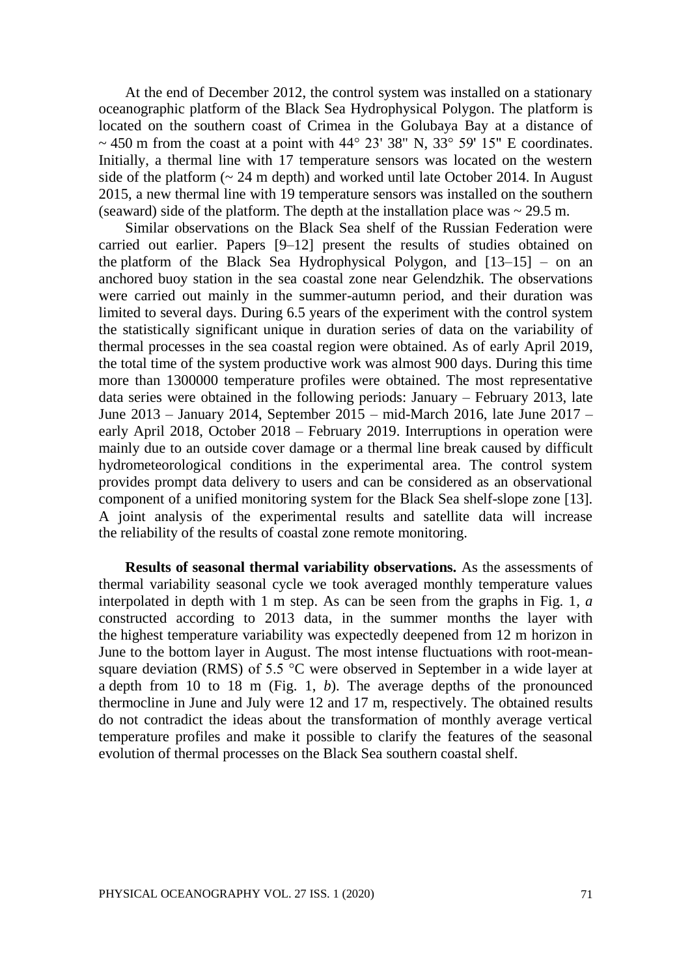At the end of December 2012, the control system was installed on a stationary oceanographic platform of the Black Sea Hydrophysical Polygon. The platform is located on the southern coast of Crimea in the Golubaya Bay at a distance of  $\sim$  450 m from the coast at a point with 44 $\degree$  23' 38" N, 33 $\degree$  59' 15" E coordinates. Initially, a thermal line with 17 temperature sensors was located on the western side of the platform  $\left(\sim 24 \text{ m depth}\right)$  and worked until late October 2014. In August 2015, a new thermal line with 19 temperature sensors was installed on the southern (seaward) side of the platform. The depth at the installation place was  $\sim$  29.5 m.

Similar observations on the Black Sea shelf of the Russian Federation were carried out earlier. Papers [9–12] present the results of studies obtained on the platform of the Black Sea Hydrophysical Polygon, and  $[13-15]$  – on an anchored buoy station in the sea coastal zone near Gelendzhik. The observations were carried out mainly in the summer-autumn period, and their duration was limited to several days. During 6.5 years of the experiment with the control system the statistically significant unique in duration series of data on the variability of thermal processes in the sea coastal region were obtained. As of early April 2019, the total time of the system productive work was almost 900 days. During this time more than 1300000 temperature profiles were obtained. The most representative data series were obtained in the following periods: January – February 2013, late June 2013 – January 2014, September 2015 – mid-March 2016, late June 2017 – early April 2018, October 2018 – February 2019. Interruptions in operation were mainly due to an outside cover damage or a thermal line break caused by difficult hydrometeorological conditions in the experimental area. The control system provides prompt data delivery to users and can be considered as an observational component of a unified monitoring system for the Black Sea shelf-slope zone [13]. A joint analysis of the experimental results and satellite data will increase the reliability of the results of coastal zone remote monitoring.

**Results of seasonal thermal variability observations.** As the assessments of thermal variability seasonal cycle we took averaged monthly temperature values interpolated in depth with 1 m step. As can be seen from the graphs in Fig. 1, *a* constructed according to 2013 data, in the summer months the layer with the highest temperature variability was expectedly deepened from 12 m horizon in June to the bottom layer in August. The most intense fluctuations with root-meansquare deviation (RMS) of 5.5  $\degree$ C were observed in September in a wide layer at a depth from 10 to 18 m (Fig. 1, *b*). The average depths of the pronounced thermocline in June and July were 12 and 17 m, respectively. The obtained results do not contradict the ideas about the transformation of monthly average vertical temperature profiles and make it possible to clarify the features of the seasonal evolution of thermal processes on the Black Sea southern coastal shelf.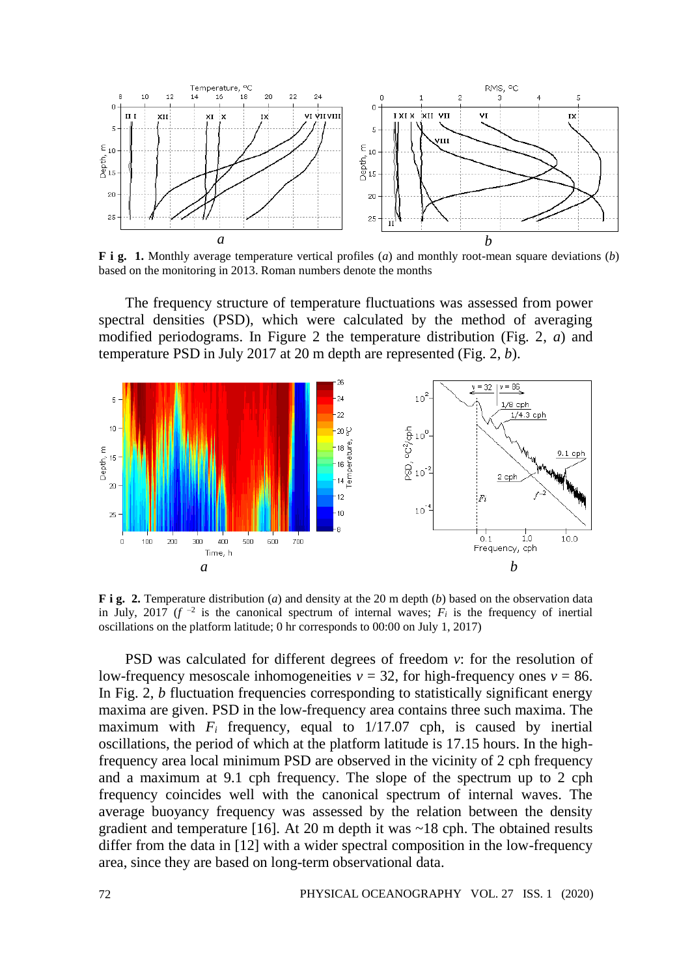

**F i g. 1.** Monthly average temperature vertical profiles (*a*) and monthly root-mean square deviations (*b*) based on the monitoring in 2013. Roman numbers denote the months

The frequency structure of temperature fluctuations was assessed from power spectral densities (PSD), which were calculated by the method of averaging modified periodograms. In Figure 2 the temperature distribution (Fig. 2, *a*) and temperature PSD in July 2017 at 20 m depth are represented (Fig. 2, *b*).



**F i g. 2.** Temperature distribution (*a*) and density at the 20 m depth (*b*) based on the observation data in July, 2017 ( $f^{-2}$  is the canonical spectrum of internal waves;  $F_i$  is the frequency of inertial oscillations on the platform latitude; 0 hr corresponds to 00:00 on July 1, 2017)

PSD was calculated for different degrees of freedom *v*: for the resolution of low-frequency mesoscale inhomogeneities  $v = 32$ , for high-frequency ones  $v = 86$ . In Fig. 2, *b* fluctuation frequencies corresponding to statistically significant energy maxima are given. PSD in the low-frequency area contains three such maxima. The maximum with  $F_i$  frequency, equal to  $1/17.07$  cph, is caused by inertial oscillations, the period of which at the platform latitude is 17.15 hours. In the highfrequency area local minimum PSD are observed in the vicinity of 2 cph frequency and a maximum at 9.1 cph frequency. The slope of the spectrum up to 2 cph frequency coincides well with the canonical spectrum of internal waves. The average buoyancy frequency was assessed by the relation between the density gradient and temperature [16]. At 20 m depth it was ~18 cph. The obtained results differ from the data in [12] with a wider spectral composition in the low-frequency area, since they are based on long-term observational data.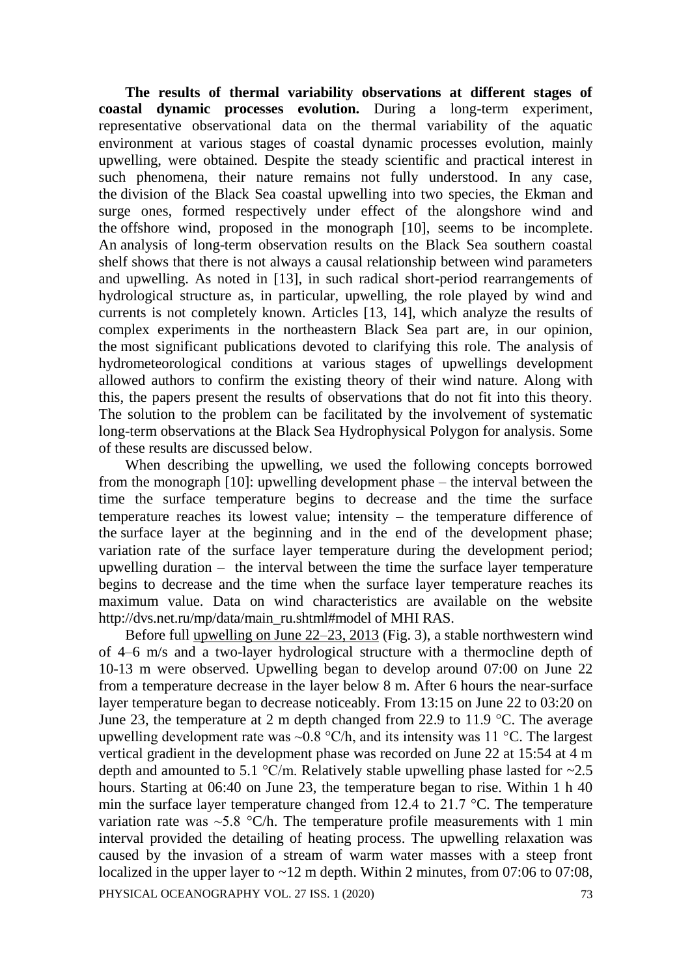**The results of thermal variability observations at different stages of coastal dynamic processes evolution.** During a long-term experiment, representative observational data on the thermal variability of the aquatic environment at various stages of coastal dynamic processes evolution, mainly upwelling, were obtained. Despite the steady scientific and practical interest in such phenomena, their nature remains not fully understood. In any case, the division of the Black Sea coastal upwelling into two species, the Ekman and surge ones, formed respectively under effect of the alongshore wind and the offshore wind, proposed in the monograph [10], seems to be incomplete. An analysis of long-term observation results on the Black Sea southern coastal shelf shows that there is not always a causal relationship between wind parameters and upwelling. As noted in [13], in such radical short-period rearrangements of hydrological structure as, in particular, upwelling, the role played by wind and currents is not completely known. Articles [13, 14], which analyze the results of complex experiments in the northeastern Black Sea part are, in our opinion, the most significant publications devoted to clarifying this role. The analysis of hydrometeorological conditions at various stages of upwellings development allowed authors to confirm the existing theory of their wind nature. Along with this, the papers present the results of observations that do not fit into this theory. The solution to the problem can be facilitated by the involvement of systematic long-term observations at the Black Sea Hydrophysical Polygon for analysis. Some of these results are discussed below.

When describing the upwelling, we used the following concepts borrowed from the monograph [10]: upwelling development phase – the interval between the time the surface temperature begins to decrease and the time the surface temperature reaches its lowest value; intensity – the temperature difference of the surface layer at the beginning and in the end of the development phase; variation rate of the surface layer temperature during the development period; upwelling duration – the interval between the time the surface layer temperature begins to decrease and the time when the surface layer temperature reaches its maximum value. Data on wind characteristics are available on the website http://dvs.net.ru/mp/data/main\_ru.shtml#model of MHI RAS.

PHYSICAL OCEANOGRAPHY VOL. 27 ISS. 1 (2020) 73 Before full upwelling on June  $22-23$ , 2013 (Fig. 3), a stable northwestern wind of 4–6 m/s and a two-layer hydrological structure with a thermocline depth of 10-13 m were observed. Upwelling began to develop around 07:00 on June 22 from a temperature decrease in the layer below 8 m. After 6 hours the near-surface layer temperature began to decrease noticeably. From 13:15 on June 22 to 03:20 on June 23, the temperature at 2 m depth changed from 22.9 to 11.9 °C. The average upwelling development rate was  $\sim 0.8$  °C/h, and its intensity was 11 °C. The largest vertical gradient in the development phase was recorded on June 22 at 15:54 at 4 m depth and amounted to 5.1  $^{\circ}$ C/m. Relatively stable upwelling phase lasted for  $\sim$ 2.5 hours. Starting at 06:40 on June 23, the temperature began to rise. Within 1 h 40 min the surface layer temperature changed from 12.4 to 21.7 °C. The temperature variation rate was  $\sim$  5.8 °C/h. The temperature profile measurements with 1 min interval provided the detailing of heating process. The upwelling relaxation was caused by the invasion of a stream of warm water masses with a steep front localized in the upper layer to ~12 m depth. Within 2 minutes, from 07:06 to 07:08,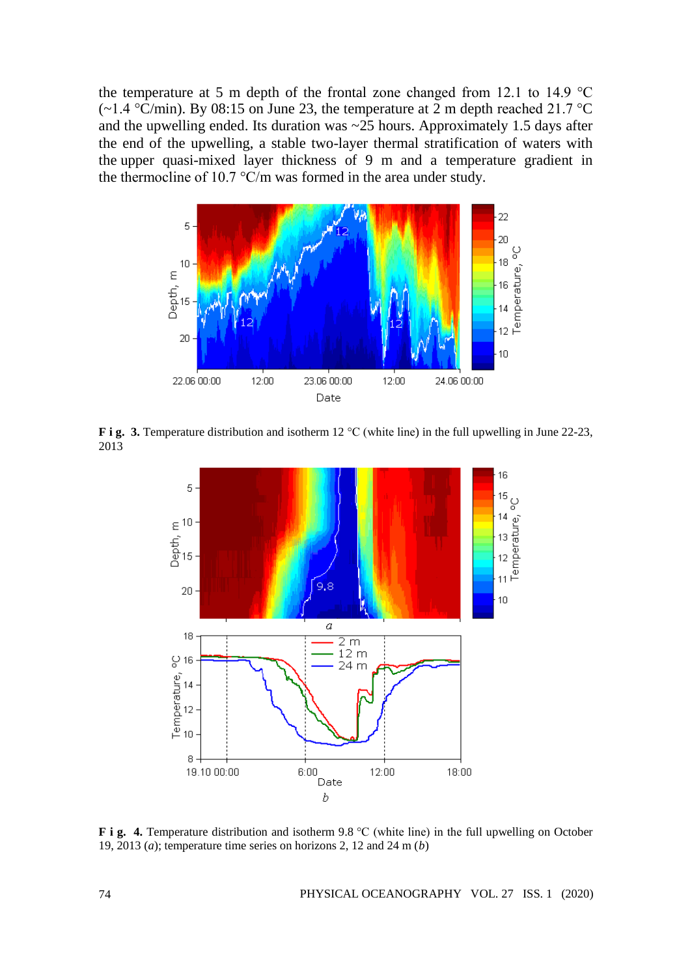the temperature at 5 m depth of the frontal zone changed from 12.1 to 14.9 °C (~1.4 °C/min). By 08:15 on June 23, the temperature at 2 m depth reached 21.7 °C and the upwelling ended. Its duration was  $\sim$  25 hours. Approximately 1.5 days after the end of the upwelling, a stable two-layer thermal stratification of waters with the upper quasi-mixed layer thickness of 9 m and a temperature gradient in the thermocline of 10.7 °C/m was formed in the area under study.



**F i g.** 3. Temperature distribution and isotherm 12 °C (white line) in the full upwelling in June 22-23, 2013



**F i g. 4.** Temperature distribution and isotherm 9.8 °C (white line) in the full upwelling on October 19, 2013 (*a*); temperature time series on horizons 2, 12 and 24 m (*b*)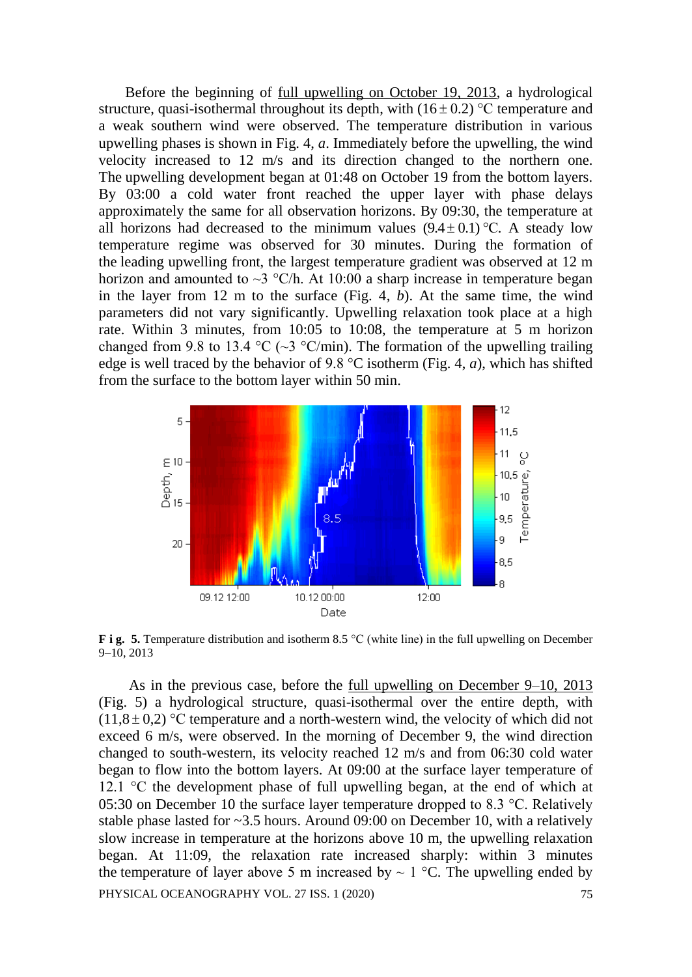Before the beginning of full upwelling on October 19, 2013, a hydrological structure, quasi-isothermal throughout its depth, with  $(16 \pm 0.2)$  °C temperature and a weak southern wind were observed. The temperature distribution in various upwelling phases is shown in Fig. 4, *a*. Immediately before the upwelling, the wind velocity increased to 12 m/s and its direction changed to the northern one. The upwelling development began at 01:48 on October 19 from the bottom layers. By 03:00 a cold water front reached the upper layer with phase delays approximately the same for all observation horizons. By 09:30, the temperature at all horizons had decreased to the minimum values  $(9.4 \pm 0.1)$  °C. A steady low temperature regime was observed for 30 minutes. During the formation of the leading upwelling front, the largest temperature gradient was observed at 12 m horizon and amounted to  $\sim$ 3 °C/h. At 10:00 a sharp increase in temperature began in the layer from 12 m to the surface (Fig. 4, *b*). At the same time, the wind parameters did not vary significantly. Upwelling relaxation took place at a high rate. Within 3 minutes, from 10:05 to 10:08, the temperature at 5 m horizon changed from 9.8 to 13.4 °C ( $\sim$ 3 °C/min). The formation of the upwelling trailing edge is well traced by the behavior of 9.8 °C isotherm (Fig. 4, *a*), which has shifted from the surface to the bottom layer within 50 min.



**F i g. 5.** Temperature distribution and isotherm 8.5 °C (white line) in the full upwelling on December 9–10, 2013

PHYSICAL OCEANOGRAPHY VOL. 27 ISS. 1 (2020) 75 As in the previous case, before the full upwelling on December 9–10, 2013 (Fig. 5) a hydrological structure, quasi-isothermal over the entire depth, with  $(11,8 \pm 0,2)$  °C temperature and a north-western wind, the velocity of which did not exceed 6 m/s, were observed. In the morning of December 9, the wind direction changed to south-western, its velocity reached 12 m/s and from 06:30 cold water began to flow into the bottom layers. At 09:00 at the surface layer temperature of 12.1 °C the development phase of full upwelling began, at the end of which at 05:30 on December 10 the surface layer temperature dropped to 8.3 °C. Relatively stable phase lasted for ~3.5 hours. Around 09:00 on December 10, with a relatively slow increase in temperature at the horizons above 10 m, the upwelling relaxation began. At 11:09, the relaxation rate increased sharply: within 3 minutes the temperature of layer above 5 m increased by  $\sim 1$  °C. The upwelling ended by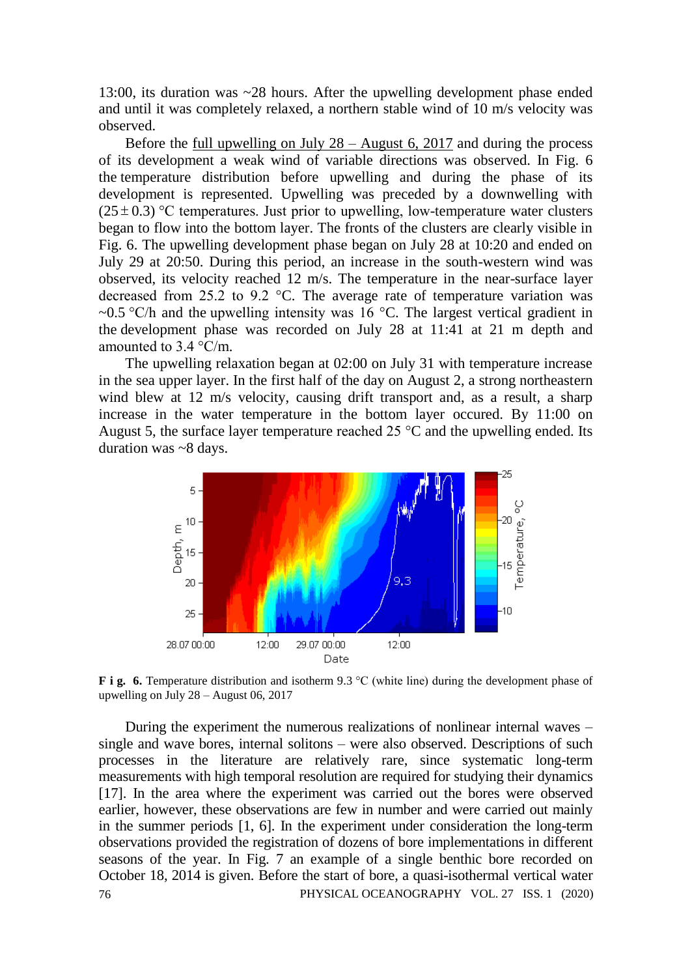13:00, its duration was ~28 hours. After the upwelling development phase ended and until it was completely relaxed, a northern stable wind of 10 m/s velocity was observed.

Before the <u>full upwelling on July  $28 -$ August 6, 2017</u> and during the process of its development a weak wind of variable directions was observed. In Fig. 6 the temperature distribution before upwelling and during the phase of its development is represented. Upwelling was preceded by a downwelling with  $(25 \pm 0.3)$  °C temperatures. Just prior to upwelling, low-temperature water clusters began to flow into the bottom layer. The fronts of the clusters are clearly visible in Fig. 6. The upwelling development phase began on July 28 at 10:20 and ended on July 29 at 20:50. During this period, an increase in the south-western wind was observed, its velocity reached 12 m/s. The temperature in the near-surface layer decreased from 25.2 to 9.2 °C. The average rate of temperature variation was ~0.5 °C/h and the upwelling intensity was 16 °C. The largest vertical gradient in the development phase was recorded on July 28 at 11:41 at 21 m depth and amounted to 3.4 °C/m.

The upwelling relaxation began at 02:00 on July 31 with temperature increase in the sea upper layer. In the first half of the day on August 2, a strong northeastern wind blew at 12 m/s velocity, causing drift transport and, as a result, a sharp increase in the water temperature in the bottom layer occured. By 11:00 on August 5, the surface layer temperature reached 25  $\degree$ C and the upwelling ended. Its duration was ~8 days.



**F i g.** 6. Temperature distribution and isotherm 9.3 °C (white line) during the development phase of upwelling on July 28 – August 06, 2017

76 PHYSICAL OCEANOGRAPHY VOL. 27 ISS. 1 (2020) During the experiment the numerous realizations of nonlinear internal waves – single and wave bores, internal solitons – were also observed. Descriptions of such processes in the literature are relatively rare, since systematic long-term measurements with high temporal resolution are required for studying their dynamics [17]. In the area where the experiment was carried out the bores were observed earlier, however, these observations are few in number and were carried out mainly in the summer periods [1, 6]. In the experiment under consideration the long-term observations provided the registration of dozens of bore implementations in different seasons of the year. In Fig. 7 an example of a single benthic bore recorded on October 18, 2014 is given. Before the start of bore, a quasi-isothermal vertical water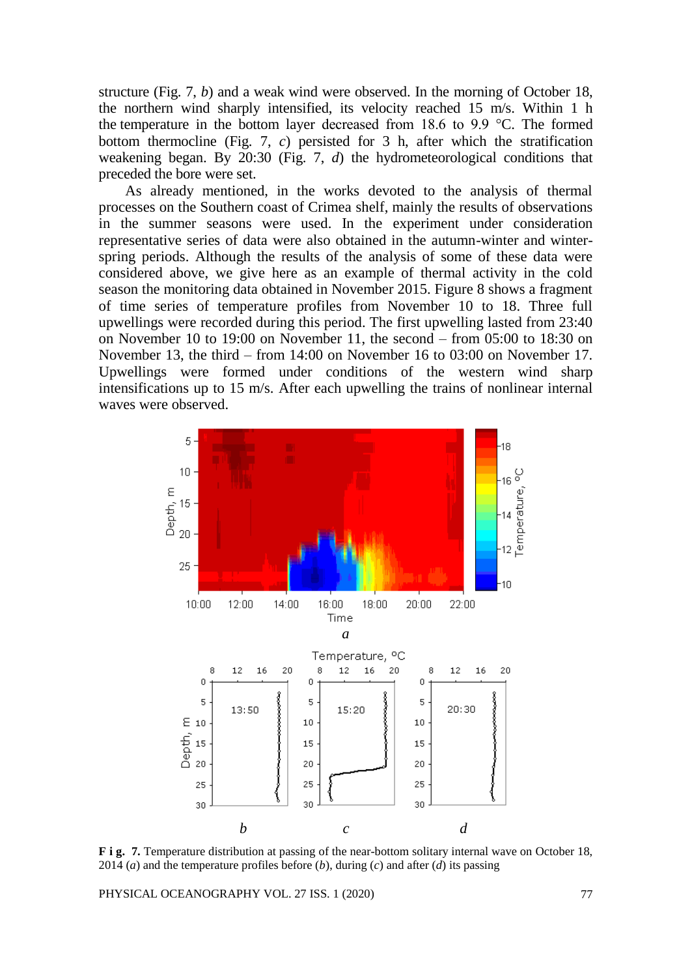structure (Fig. 7, *b*) and a weak wind were observed. In the morning of October 18, the northern wind sharply intensified, its velocity reached 15 m/s. Within 1 h the temperature in the bottom layer decreased from 18.6 to 9.9 °C. The formed bottom thermocline (Fig. 7, *c*) persisted for 3 h, after which the stratification weakening began. By 20:30 (Fig. 7, *d*) the hydrometeorological conditions that preceded the bore were set.

As already mentioned, in the works devoted to the analysis of thermal processes on the Southern coast of Crimea shelf, mainly the results of observations in the summer seasons were used. In the experiment under consideration representative series of data were also obtained in the autumn-winter and winterspring periods. Although the results of the analysis of some of these data were considered above, we give here as an example of thermal activity in the cold season the monitoring data obtained in November 2015. Figure 8 shows a fragment of time series of temperature profiles from November 10 to 18. Three full upwellings were recorded during this period. The first upwelling lasted from 23:40 on November 10 to 19:00 on November 11, the second – from 05:00 to 18:30 on November 13, the third – from 14:00 on November 16 to 03:00 on November 17. Upwellings were formed under conditions of the western wind sharp intensifications up to 15 m/s. After each upwelling the trains of nonlinear internal waves were observed.



**F i g. 7.** Temperature distribution at passing of the near-bottom solitary internal wave on October 18, 2014 (*a*) and the temperature profiles before (*b*), during (*c*) and after (*d*) its passing

PHYSICAL OCEANOGRAPHY VOL. 27 ISS. 1 (2020) 77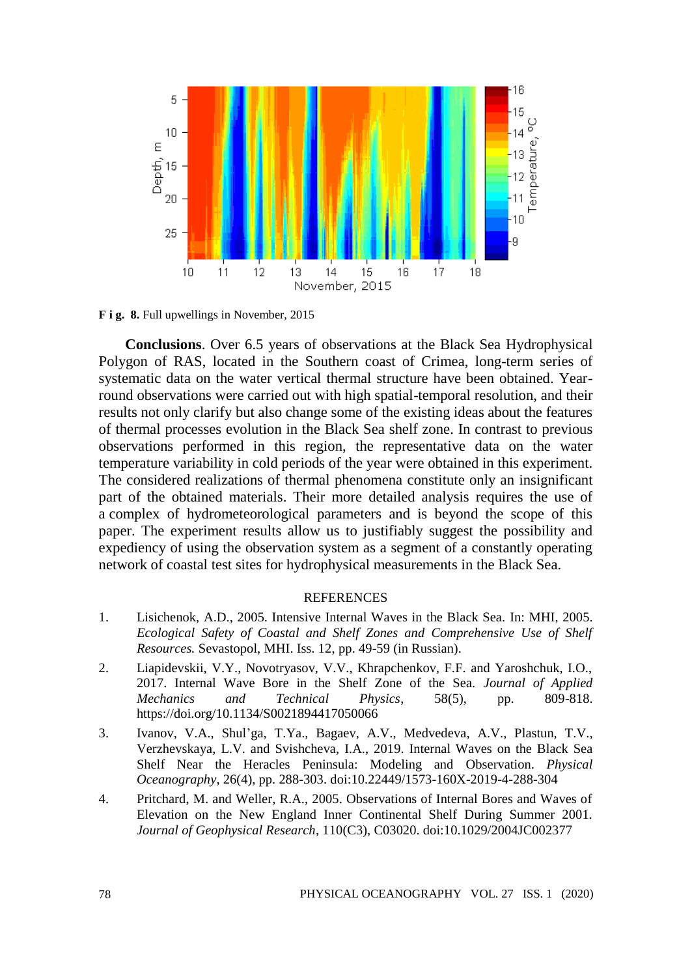

**F i g. 8.** Full upwellings in November, 2015

**Conclusions**. Over 6.5 years of observations at the Black Sea Hydrophysical Polygon of RAS, located in the Southern coast of Crimea, long-term series of systematic data on the water vertical thermal structure have been obtained. Yearround observations were carried out with high spatial-temporal resolution, and their results not only clarify but also change some of the existing ideas about the features of thermal processes evolution in the Black Sea shelf zone. In contrast to previous observations performed in this region, the representative data on the water temperature variability in cold periods of the year were obtained in this experiment. The considered realizations of thermal phenomena constitute only an insignificant part of the obtained materials. Their more detailed analysis requires the use of a complex of hydrometeorological parameters and is beyond the scope of this paper. The experiment results allow us to justifiably suggest the possibility and expediency of using the observation system as a segment of a constantly operating network of coastal test sites for hydrophysical measurements in the Black Sea.

## **REFERENCES**

- 1. Lisichenok, A.D., 2005. Intensive Internal Waves in the Black Sea. In: MHI, 2005. *Ecological Safety of Coastal and Shelf Zones and Comprehensive Use of Shelf Resources.* Sevastopol, MHI. Iss. 12, pp. 49-59 (in Russian).
- 2. Liapidevskii, V.Y., Novotryasov, V.V., Khrapchenkov, F.F. and Yaroshchuk, I.O., 2017. Internal Wave Bore in the Shelf Zone of the Sea. *Journal of Applied Mechanics and Technical Physics*, 58(5), pp. 809-818. https://doi.org/10.1134/S0021894417050066
- 3. Ivanov, V.A., Shul'ga, T.Ya., Bagaev, A.V., Medvedeva, A.V., Plastun, T.V., Verzhevskaya, L.V. and Svishcheva, I.A., 2019. Internal Waves on the Black Sea Shelf Near the Heracles Peninsula: Modeling and Observation. *Physical Oceanography*, 26(4), pp. 288-303. doi:10.22449/1573-160X-2019-4-288-304
- 4. Pritchard, M. and Weller, R.A., 2005. Observations of Internal Bores and Waves of Elevation on the New England Inner Continental Shelf During Summer 2001. *Journal of Geophysical Research*, 110(C3), C03020. doi:10.1029/2004JC002377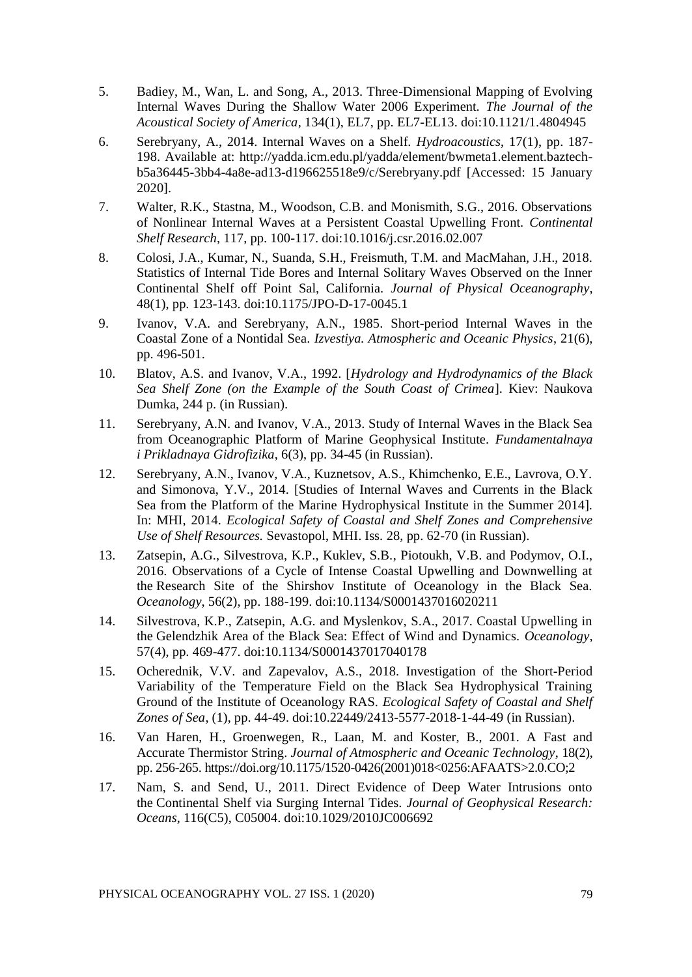- 5. Badiey, M., Wan, L. and Song, A., 2013. Three-Dimensional Mapping of Evolving Internal Waves During the Shallow Water 2006 Experiment. *The Journal of the Acoustical Society of America*, 134(1), EL7, pp. EL7-EL13. doi:10.1121/1.4804945
- 6. Serebryany, A., 2014. Internal Waves on a Shelf. *Hydroacoustics*, 17(1), pp. 187- 198. Available at: http://yadda.icm.edu.pl/yadda/element/bwmeta1.element.baztechb5a36445-3bb4-4a8e-ad13-d196625518e9/c/Serebryany.pdf [Accessed: 15 January 2020].
- 7. Walter, R.K., Stastna, M., Woodson, C.B. and Monismith, S.G., 2016. Observations of Nonlinear Internal Waves at a Persistent Coastal Upwelling Front. *Continental Shelf Research*, 117, pp. 100-117. doi:10.1016/j.csr.2016.02.007
- 8. Colosi, J.A., Kumar, N., Suanda, S.H., Freismuth, T.M. and MacMahan, J.H., 2018. Statistics of Internal Tide Bores and Internal Solitary Waves Observed on the Inner Continental Shelf off Point Sal, California. *Journal of Physical Oceanography*, 48(1), pp. 123-143. doi:10.1175/JPO-D-17-0045.1
- 9. Ivanov, V.A. and Serebryany, A.N., 1985. Short-period Internal Waves in the Coastal Zone of a Nontidal Sea. *Izvestiya. Atmospheric and Oceanic Physics*, 21(6), pp. 496-501.
- 10. Blatov, A.S. and Ivanov, V.A., 1992. [*Hydrology and Hydrodynamics of the Black Sea Shelf Zone (on the Example of the South Coast of Crimea*]. Kiev: Naukova Dumka, 244 p. (in Russian).
- 11. Serebryany, A.N. and Ivanov, V.A., 2013. Study of Internal Waves in the Black Sea from Oceanographic Platform of Marine Geophysical Institute. *Fundamentalnaya i Prikladnaya Gidrofizika*, 6(3), pp. 34-45 (in Russian).
- 12. Serebryany, A.N., Ivanov, V.A., Kuznetsov, A.S., Khimchenko, E.E., Lavrova, O.Y. and Simonova, Y.V., 2014. [Studies of Internal Waves and Currents in the Black Sea from the Platform of the Marine Hydrophysical Institute in the Summer 2014]. In: MHI, 2014. *Ecological Safety of Coastal and Shelf Zones and Comprehensive Use of Shelf Resources.* Sevastopol, MHI. Iss. 28, pp. 62-70 (in Russian).
- 13. Zatsepin, A.G., Silvestrova, K.P., Kuklev, S.B., Piotoukh, V.B. and Podymov, O.I., 2016. Observations of a Cycle of Intense Coastal Upwelling and Downwelling at the Research Site of the Shirshov Institute of Oceanology in the Black Sea. *Oceanology*, 56(2), pp. 188-199. doi:10.1134/S0001437016020211
- 14. Silvestrova, K.P., Zatsepin, A.G. and Myslenkov, S.A., 2017. Coastal Upwelling in the Gelendzhik Area of the Black Sea: Effect of Wind and Dynamics. *Oceanology*, 57(4), pp. 469-477. doi:10.1134/S0001437017040178
- 15. Ocherednik, V.V. and Zapevalov, A.S., 2018. Investigation of the Short-Period Variability of the Temperature Field on the Black Sea Hydrophysical Training Ground of the Institute of Oceanology RAS. *Ecological Safety of Coastal and Shelf Zones of Sea*, (1), pp. 44-49. doi:10.22449/2413-5577-2018-1-44-49 (in Russian).
- 16. Van Haren, H., Groenwegen, R., Laan, M. and Koster, B., 2001. A Fast and Accurate Thermistor String. *Journal of Atmospheric and Oceanic Technology*, 18(2), pp. 256-265. https://doi.org/10.1175/1520-0426(2001)018<0256:AFAATS>2.0.CO;2
- 17. Nam, S. and Send, U., 2011. Direct Evidence of Deep Water Intrusions onto the Continental Shelf via Surging Internal Tides. *Journal of Geophysical Research: Oceans*, 116(C5), C05004. doi:10.1029/2010JC006692